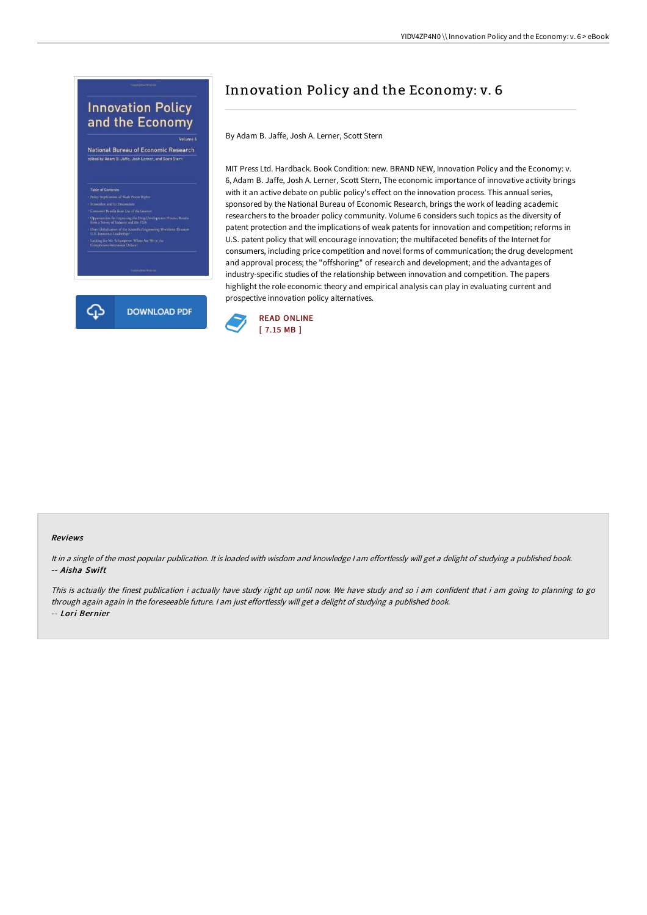## **Innovation Policy** and the Economy

Volume 6 National Bureau of Economic Research edited by Adam B. Jaffe, Josh Lerner, and Scott Ste

: Leastrump?<br>r. Schumpeter: Where Are We in the<br>nnovation Debate?



## Innovation Policy and the Economy: v. 6

By Adam B. Jaffe, Josh A. Lerner, Scott Stern

MIT Press Ltd. Hardback. Book Condition: new. BRAND NEW, Innovation Policy and the Economy: v. 6, Adam B. Jaffe, Josh A. Lerner, Scott Stern, The economic importance of innovative activity brings with it an active debate on public policy's effect on the innovation process. This annual series, sponsored by the National Bureau of Economic Research, brings the work of leading academic researchers to the broader policy community. Volume 6 considers such topics as the diversity of patent protection and the implications of weak patents for innovation and competition; reforms in U.S. patent policy that will encourage innovation; the multifaceted benefits of the Internet for consumers, including price competition and novel forms of communication; the drug development and approval process; the "offshoring" of research and development; and the advantages of industry-specific studies of the relationship between innovation and competition. The papers highlight the role economic theory and empirical analysis can play in evaluating current and prospective innovation policy alternatives.



## Reviews

It in <sup>a</sup> single of the most popular publication. It is loaded with wisdom and knowledge <sup>I</sup> am effortlessly will get <sup>a</sup> delight of studying <sup>a</sup> published book. -- Aisha Swift

This is actually the finest publication i actually have study right up until now. We have study and so i am confident that i am going to planning to go through again again in the foreseeable future. <sup>I</sup> am just effortlessly will get <sup>a</sup> delight of studying <sup>a</sup> published book. -- Lori Bernier